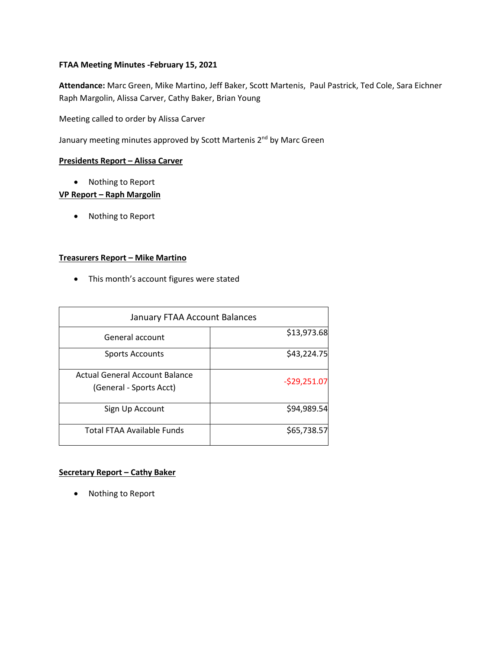# **FTAA Meeting Minutes -February 15, 2021**

**Attendance:** Marc Green, Mike Martino, Jeff Baker, Scott Martenis, Paul Pastrick, Ted Cole, Sara Eichner Raph Margolin, Alissa Carver, Cathy Baker, Brian Young

Meeting called to order by Alissa Carver

January meeting minutes approved by Scott Martenis 2<sup>nd</sup> by Marc Green

### **Presidents Report – Alissa Carver**

• Nothing to Report

## **VP Report – Raph Margolin**

• Nothing to Report

### **Treasurers Report – Mike Martino**

• This month's account figures were stated

| January FTAA Account Balances                             |               |
|-----------------------------------------------------------|---------------|
| General account                                           | \$13,973.68   |
| <b>Sports Accounts</b>                                    | \$43,224.75   |
| Actual General Account Balance<br>(General - Sports Acct) | $-529,251.07$ |
| Sign Up Account                                           | \$94,989.54   |
| <b>Total FTAA Available Funds</b>                         | \$65,738.57   |

#### **Secretary Report – Cathy Baker**

• Nothing to Report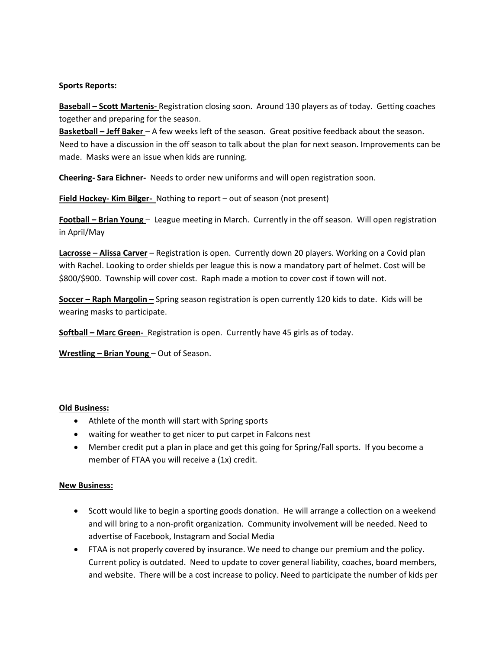#### **Sports Reports:**

**Baseball – Scott Martenis-** Registration closing soon. Around 130 players as of today. Getting coaches together and preparing for the season.

**Basketball – Jeff Baker** – A few weeks left of the season. Great positive feedback about the season. Need to have a discussion in the off season to talk about the plan for next season. Improvements can be made. Masks were an issue when kids are running.

**Cheering- Sara Eichner-** Needs to order new uniforms and will open registration soon.

**Field Hockey- Kim Bilger-** Nothing to report – out of season (not present)

**Football – Brian Young** – League meeting in March. Currently in the off season. Will open registration in April/May

**Lacrosse – Alissa Carver** – Registration is open. Currently down 20 players. Working on a Covid plan with Rachel. Looking to order shields per league this is now a mandatory part of helmet. Cost will be \$800/\$900. Township will cover cost. Raph made a motion to cover cost if town will not.

**Soccer – Raph Margolin –** Spring season registration is open currently 120 kids to date. Kids will be wearing masks to participate.

**Softball – Marc Green-** Registration is open. Currently have 45 girls as of today.

**Wrestling – Brian Young** – Out of Season.

#### **Old Business:**

- Athlete of the month will start with Spring sports
- waiting for weather to get nicer to put carpet in Falcons nest
- Member credit put a plan in place and get this going for Spring/Fall sports. If you become a member of FTAA you will receive a (1x) credit.

#### **New Business:**

- Scott would like to begin a sporting goods donation. He will arrange a collection on a weekend and will bring to a non-profit organization. Community involvement will be needed. Need to advertise of Facebook, Instagram and Social Media
- FTAA is not properly covered by insurance. We need to change our premium and the policy. Current policy is outdated. Need to update to cover general liability, coaches, board members, and website. There will be a cost increase to policy. Need to participate the number of kids per